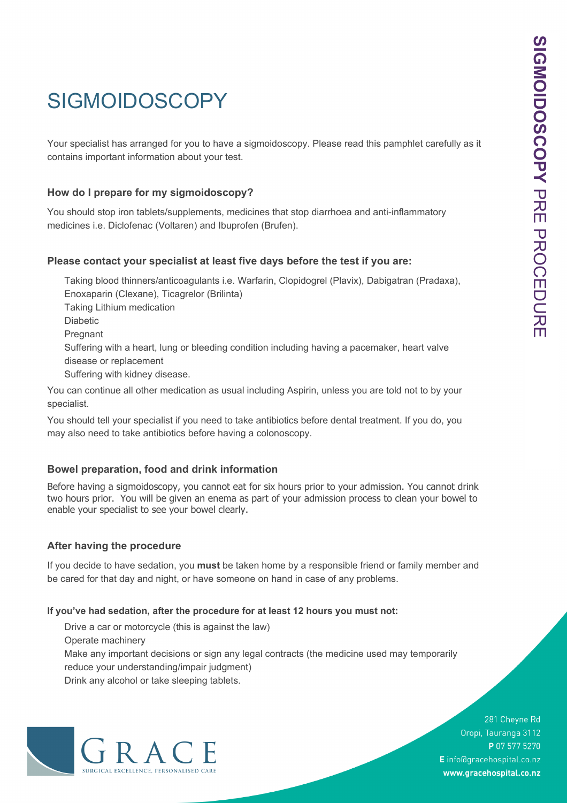# **SIGMOIDOSCOPY**

contains important information about your test.

## **How do I prepare for my sigmoidoscopy?**

You should stop iron tablets/supplements, medicines that stop diarrhoea and anti-inflammatory medicines i.e. Diclofenac (Voltaren) and Ibuprofen (Brufen).

### **Please contact your specialist at least five days before the test if you are:**

SIGMOIDOSCOPY<br>
Your specialist has arranged for you to have a sigmoidoscopy. Please read this pamphlet carefully as it<br>
contains important information about your test.<br>
How do I prepare for my sigmoidoscopy?<br>
You should st Taking blood thinners/anticoagulants i.e. Warfarin, Clopidogrel (Plavix), Dabigatran (Pradaxa), Enoxaparin (Clexane), Ticagrelor (Brilinta) Taking Lithium medication Diabetic **Pregnant** Suffering with a heart, lung or bleeding condition including having a pacemaker, heart valve disease or replacement Suffering with kidney disease. You can continue all other medication as usual including Aspirin, unless you are told not to by your

specialist.

You should tell your specialist if you need to take antibiotics before dental treatment. If you do, you may also need to take antibiotics before having a colonoscopy.

### **Bowel preparation, food and drink information**

Before having a sigmoidoscopy, you cannot eat for six hours prior to your admission. You cannot drink two hours prior. You will be given an enema as part of your admission process to clean your bowel to enable your specialist to see your bowel clearly.

### **After having the procedure**

If you decide to have sedation, you **must** be taken home by a responsible friend or family member and be cared for that day and night, or have someone on hand in case of any problems.

#### **If you've had sedation, after the procedure for at least 12 hours you must not:**

Drive a car or motorcycle (this is against the law)

Operate machinery

Make any important decisions or sign any legal contracts (the medicine used may temporarily reduce your understanding/impair judgment)

Drink any alcohol or take sleeping tablets.



281 Cheyne Rd Oropi, Tauranga 3112 P 07 577 5270 E info@gracehospital.co.nz www.gracehospital.co.nz